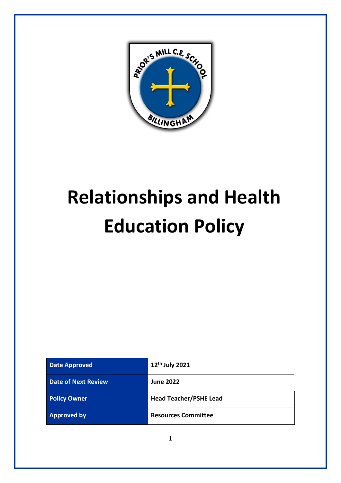

# **Relationships and Health Education Policy**

| <b>Date Approved</b>       | 12 <sup>th</sup> July 2021    |
|----------------------------|-------------------------------|
| <b>Date of Next Review</b> | <b>June 2022</b>              |
| <b>Policy Owner</b>        | <b>Head Teacher/PSHE Lead</b> |
| <b>Approved by</b>         | <b>Resources Committee</b>    |

1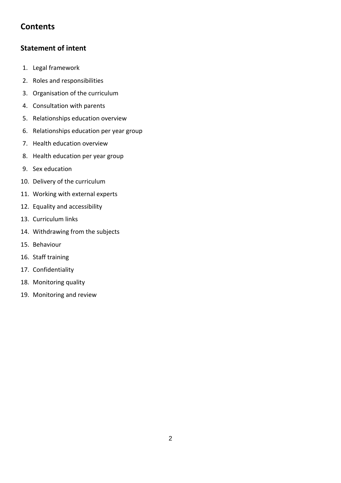# **Contents**

# **[Statement of intent](#page-1-0)**

- 1. Legal framework
- 2. [Roles and responsibilities](#page-3-0)
- 3. [Organisation of the curriculum](#page-4-0)
- 4. [Consultation with parents](#page-5-0)
- 5. [Relationships education overview](#page-5-1)
- 6. [Relationships education per year group](#page-7-0)
- 7. [Health education overview](#page-8-0)
- 8. [Health education per year group](#page-11-0)
- 9. [Sex education](#page-12-0)
- 10. [Delivery of the curriculum](#page-12-1)
- 11. [Working with external experts](#page-13-0)
- 12. Equality and accessibility
- 13. [Curriculum links](#page-14-0)
- 14. [Withdrawing from the subjects](#page-14-1)
- 15. [Behaviour](#page-14-2)
- 16. [Staff training](#page-15-0)
- 17. [Confidentiality](#page-15-1)
- 18. [Monitoring quality](#page-15-2)
- <span id="page-1-0"></span>19. [Monitoring and review](#page-15-3)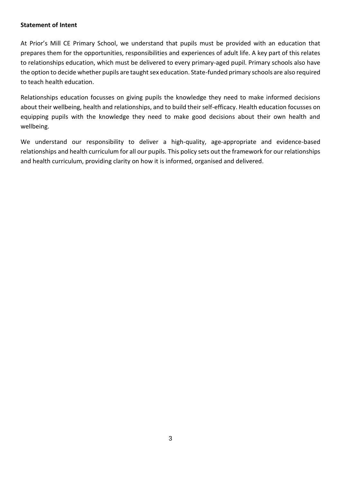#### **Statement of Intent**

At Prior's Mill CE Primary School, we understand that pupils must be provided with an education that prepares them for the opportunities, responsibilities and experiences of adult life. A key part of this relates to relationships education, which must be delivered to every primary-aged pupil. Primary schools also have the option to decide whether pupils are taught sex education. State-funded primary schools are also required to teach health education.

Relationships education focusses on giving pupils the knowledge they need to make informed decisions about their wellbeing, health and relationships, and to build their self-efficacy. Health education focusses on equipping pupils with the knowledge they need to make good decisions about their own health and wellbeing.

We understand our responsibility to deliver a high-quality, age-appropriate and evidence-based relationships and health curriculum for all our pupils. This policy sets out the framework for our relationships and health curriculum, providing clarity on how it is informed, organised and delivered.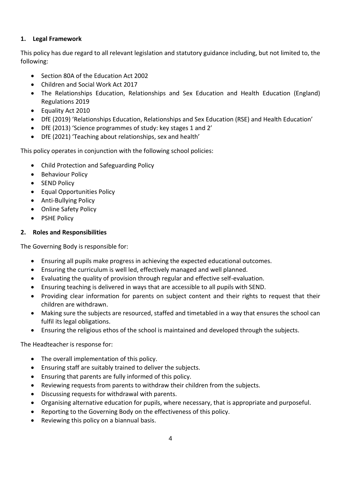# **1. Legal Framework**

This policy has due regard to all relevant legislation and statutory guidance including, but not limited to, the following:

- Section 80A of the Education Act 2002
- Children and Social Work Act 2017
- The Relationships Education, Relationships and Sex Education and Health Education (England) Regulations 2019
- Equality Act 2010
- DfE (2019) 'Relationships Education, Relationships and Sex Education (RSE) and Health Education'
- DfE (2013) 'Science programmes of study: key stages 1 and 2'
- DfE (2021) 'Teaching about relationships, sex and health'

This policy operates in conjunction with the following school policies:

- Child Protection and Safeguarding Policy
- Behaviour Policy
- SEND Policy
- Equal Opportunities Policy
- Anti-Bullying Policy
- Online Safety Policy
- PSHE Policy

# <span id="page-3-0"></span>**2. Roles and Responsibilities**

The Governing Body is responsible for:

- Ensuring all pupils make progress in achieving the expected educational outcomes.
- Ensuring the curriculum is well led, effectively managed and well planned.
- Evaluating the quality of provision through regular and effective self-evaluation.
- Ensuring teaching is delivered in ways that are accessible to all pupils with SEND.
- Providing clear information for parents on subject content and their rights to request that their children are withdrawn.
- Making sure the subjects are resourced, staffed and timetabled in a way that ensures the school can fulfil its legal obligations.
- Ensuring the religious ethos of the school is maintained and developed through the subjects.

The Headteacher is response for:

- The overall implementation of this policy.
- Ensuring staff are suitably trained to deliver the subjects.
- Ensuring that parents are fully informed of this policy.
- Reviewing requests from parents to withdraw their children from the subjects.
- Discussing requests for withdrawal with parents.
- Organising alternative education for pupils, where necessary, that is appropriate and purposeful.
- Reporting to the Governing Body on the effectiveness of this policy.
- Reviewing this policy on a biannual basis.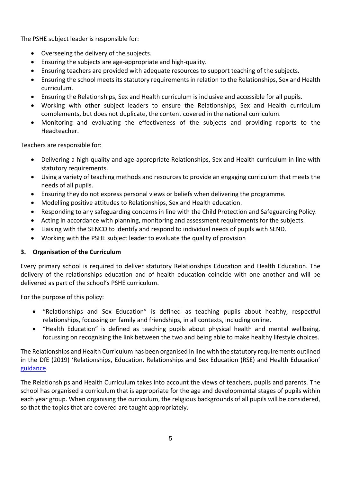The PSHE subject leader is responsible for:

- Overseeing the delivery of the subjects.
- Ensuring the subjects are age-appropriate and high-quality.
- Ensuring teachers are provided with adequate resources to support teaching of the subjects.
- Ensuring the school meets its statutory requirements in relation to the Relationships, Sex and Health curriculum.
- Ensuring the Relationships, Sex and Health curriculum is inclusive and accessible for all pupils.
- Working with other subject leaders to ensure the Relationships, Sex and Health curriculum complements, but does not duplicate, the content covered in the national curriculum.
- Monitoring and evaluating the effectiveness of the subjects and providing reports to the Headteacher.

Teachers are responsible for:

- Delivering a high-quality and age-appropriate Relationships, Sex and Health curriculum in line with statutory requirements.
- Using a variety of teaching methods and resources to provide an engaging curriculum that meets the needs of all pupils.
- Ensuring they do not express personal views or beliefs when delivering the programme.
- Modelling positive attitudes to Relationships, Sex and Health education.
- Responding to any safeguarding concerns in line with the Child Protection and Safeguarding Policy.
- Acting in accordance with planning, monitoring and assessment requirements for the subjects.
- Liaising with the SENCO to identify and respond to individual needs of pupils with SEND.
- Working with the PSHE subject leader to evaluate the quality of provision

# <span id="page-4-0"></span>**3. Organisation of the Curriculum**

Every primary school is required to deliver statutory Relationships Education and Health Education. The delivery of the relationships education and of health education coincide with one another and will be delivered as part of the school's PSHE curriculum.

For the purpose of this policy:

- "Relationships and Sex Education" is defined as teaching pupils about healthy, respectful relationships, focussing on family and friendships, in all contexts, including online.
- "Health Education" is defined as teaching pupils about physical health and mental wellbeing, focussing on recognising the link between the two and being able to make healthy lifestyle choices.

The Relationships and Health Curriculum has been organised in line with the statutory requirements outlined in the DfE (2019) 'Relationships, Education, Relationships and Sex Education (RSE) and Health Education' [guidance.](https://www.gov.uk/government/publications/relationships-education-relationships-and-sex-education-rse-and-health-education)

The Relationships and Health Curriculum takes into account the views of teachers, pupils and parents. The school has organised a curriculum that is appropriate for the age and developmental stages of pupils within each year group. When organising the curriculum, the religious backgrounds of all pupils will be considered, so that the topics that are covered are taught appropriately.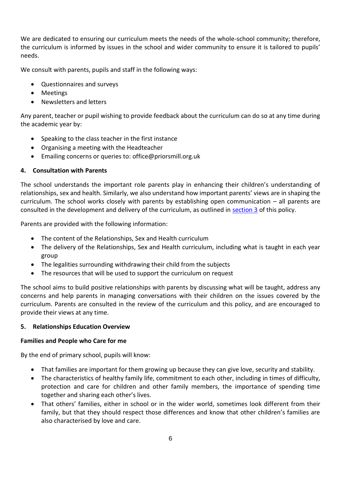We are dedicated to ensuring our curriculum meets the needs of the whole-school community; therefore, the curriculum is informed by issues in the school and wider community to ensure it is tailored to pupils' needs.

We consult with parents, pupils and staff in the following ways:

- Questionnaires and surveys
- Meetings
- Newsletters and letters

Any parent, teacher or pupil wishing to provide feedback about the curriculum can do so at any time during the academic year by:

- Speaking to the class teacher in the first instance
- Organising a meeting with the Headteacher
- Emailing concerns or queries to: office@priorsmill.org.uk

#### <span id="page-5-0"></span>**4. Consultation with Parents**

The school understands the important role parents play in enhancing their children's understanding of relationships, sex and health. Similarly, we also understand how important parents' views are in shaping the curriculum. The school works closely with parents by establishing open communication – all parents are consulted in the development and delivery of the curriculum, as outlined in [section 3](#page-4-0) of this policy.

Parents are provided with the following information:

- The content of the Relationships, Sex and Health curriculum
- The delivery of the Relationships, Sex and Health curriculum, including what is taught in each year group
- The legalities surrounding withdrawing their child from the subjects
- The resources that will be used to support the curriculum on request

The school aims to build positive relationships with parents by discussing what will be taught, address any concerns and help parents in managing conversations with their children on the issues covered by the curriculum. Parents are consulted in the review of the curriculum and this policy, and are encouraged to provide their views at any time.

#### <span id="page-5-1"></span>**5. Relationships Education Overview**

#### **Families and People who Care for me**

By the end of primary school, pupils will know:

- That families are important for them growing up because they can give love, security and stability.
- The characteristics of healthy family life, commitment to each other, including in times of difficulty, protection and care for children and other family members, the importance of spending time together and sharing each other's lives.
- That others' families, either in school or in the wider world, sometimes look different from their family, but that they should respect those differences and know that other children's families are also characterised by love and care.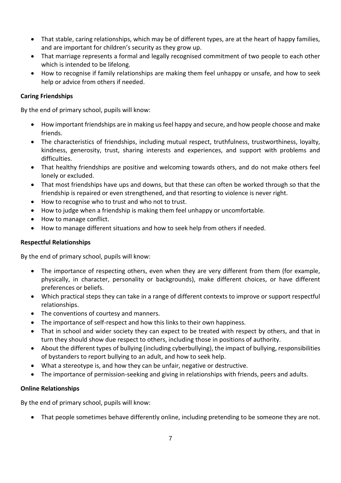- That stable, caring relationships, which may be of different types, are at the heart of happy families, and are important for children's security as they grow up.
- That marriage represents a formal and legally recognised commitment of two people to each other which is intended to be lifelong.
- How to recognise if family relationships are making them feel unhappy or unsafe, and how to seek help or advice from others if needed.

# **Caring Friendships**

By the end of primary school, pupils will know:

- How important friendships are in making us feel happy and secure, and how people choose and make friends.
- The characteristics of friendships, including mutual respect, truthfulness, trustworthiness, loyalty, kindness, generosity, trust, sharing interests and experiences, and support with problems and difficulties.
- That healthy friendships are positive and welcoming towards others, and do not make others feel lonely or excluded.
- That most friendships have ups and downs, but that these can often be worked through so that the friendship is repaired or even strengthened, and that resorting to violence is never right.
- How to recognise who to trust and who not to trust.
- How to judge when a friendship is making them feel unhappy or uncomfortable.
- How to manage conflict.
- How to manage different situations and how to seek help from others if needed.

# **Respectful Relationships**

By the end of primary school, pupils will know:

- The importance of respecting others, even when they are very different from them (for example, physically, in character, personality or backgrounds), make different choices, or have different preferences or beliefs.
- Which practical steps they can take in a range of different contexts to improve or support respectful relationships.
- The conventions of courtesy and manners.
- The importance of self-respect and how this links to their own happiness.
- That in school and wider society they can expect to be treated with respect by others, and that in turn they should show due respect to others, including those in positions of authority.
- About the different types of bullying (including cyberbullying), the impact of bullying, responsibilities of bystanders to report bullying to an adult, and how to seek help.
- What a stereotype is, and how they can be unfair, negative or destructive.
- The importance of permission-seeking and giving in relationships with friends, peers and adults.

# **Online Relationships**

By the end of primary school, pupils will know:

• That people sometimes behave differently online, including pretending to be someone they are not.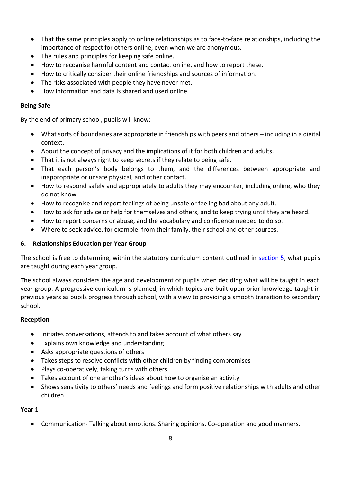- That the same principles apply to online relationships as to face-to-face relationships, including the importance of respect for others online, even when we are anonymous.
- The rules and principles for keeping safe online.
- How to recognise harmful content and contact online, and how to report these.
- How to critically consider their online friendships and sources of information.
- The risks associated with people they have never met.
- How information and data is shared and used online.

# **Being Safe**

By the end of primary school, pupils will know:

- What sorts of boundaries are appropriate in friendships with peers and others including in a digital context.
- About the concept of privacy and the implications of it for both children and adults.
- That it is not always right to keep secrets if they relate to being safe.
- That each person's body belongs to them, and the differences between appropriate and inappropriate or unsafe physical, and other contact.
- How to respond safely and appropriately to adults they may encounter, including online, who they do not know.
- How to recognise and report feelings of being unsafe or feeling bad about any adult.
- How to ask for advice or help for themselves and others, and to keep trying until they are heard.
- How to report concerns or abuse, and the vocabulary and confidence needed to do so.
- Where to seek advice, for example, from their family, their school and other sources.

# <span id="page-7-0"></span>**6. Relationships Education per Year Group**

The school is free to determine, within the statutory curriculum content outlined in [section 5,](#page-5-1) what pupils are taught during each year group.

The school always considers the age and development of pupils when deciding what will be taught in each year group. A progressive curriculum is planned, in which topics are built upon prior knowledge taught in previous years as pupils progress through school, with a view to providing a smooth transition to secondary school.

# **Reception**

- Initiates conversations, attends to and takes account of what others say
- Explains own knowledge and understanding
- Asks appropriate questions of others
- Takes steps to resolve conflicts with other children by finding compromises
- Plays co-operatively, taking turns with others
- Takes account of one another's ideas about how to organise an activity
- Shows sensitivity to others' needs and feelings and form positive relationships with adults and other children

# **Year 1**

• Communication- Talking about emotions. Sharing opinions. Co-operation and good manners.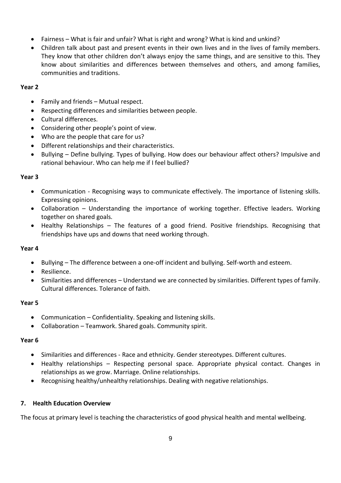- Fairness What is fair and unfair? What is right and wrong? What is kind and unkind?
- Children talk about past and present events in their own lives and in the lives of family members. They know that other children don't always enjoy the same things, and are sensitive to this. They know about similarities and differences between themselves and others, and among families, communities and traditions.

#### **Year 2**

- Family and friends Mutual respect.
- Respecting differences and similarities between people.
- Cultural differences.
- Considering other people's point of view.
- Who are the people that care for us?
- Different relationships and their characteristics.
- Bullying Define bullying. Types of bullying. How does our behaviour affect others? Impulsive and rational behaviour. Who can help me if I feel bullied?

# **Year 3**

- Communication Recognising ways to communicate effectively. The importance of listening skills. Expressing opinions.
- Collaboration Understanding the importance of working together. Effective leaders. Working together on shared goals.
- Healthy Relationships The features of a good friend. Positive friendships. Recognising that friendships have ups and downs that need working through.

# **Year 4**

- Bullying The difference between a one-off incident and bullying. Self-worth and esteem.
- Resilience.
- Similarities and differences Understand we are connected by similarities. Different types of family. Cultural differences. Tolerance of faith.

# **Year 5**

- Communication Confidentiality. Speaking and listening skills.
- Collaboration Teamwork. Shared goals. Community spirit.

#### **Year 6**

- Similarities and differences Race and ethnicity. Gender stereotypes. Different cultures.
- Healthy relationships Respecting personal space. Appropriate physical contact. Changes in relationships as we grow. Marriage. Online relationships.
- Recognising healthy/unhealthy relationships. Dealing with negative relationships.

#### <span id="page-8-0"></span>**7. Health Education Overview**

The focus at primary level is teaching the characteristics of good physical health and mental wellbeing.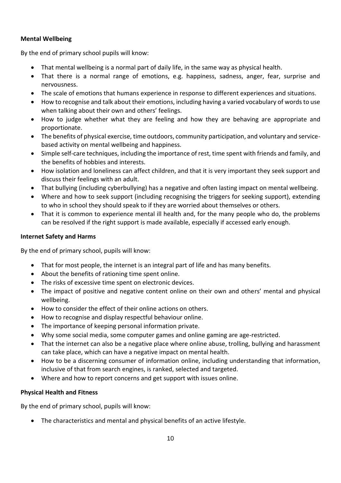# **Mental Wellbeing**

By the end of primary school pupils will know:

- That mental wellbeing is a normal part of daily life, in the same way as physical health.
- That there is a normal range of emotions, e.g. happiness, sadness, anger, fear, surprise and nervousness.
- The scale of emotions that humans experience in response to different experiences and situations.
- How to recognise and talk about their emotions, including having a varied vocabulary of words to use when talking about their own and others' feelings.
- How to judge whether what they are feeling and how they are behaving are appropriate and proportionate.
- The benefits of physical exercise, time outdoors, community participation, and voluntary and servicebased activity on mental wellbeing and happiness.
- Simple self-care techniques, including the importance of rest, time spent with friends and family, and the benefits of hobbies and interests.
- How isolation and loneliness can affect children, and that it is very important they seek support and discuss their feelings with an adult.
- That bullying (including cyberbullying) has a negative and often lasting impact on mental wellbeing.
- Where and how to seek support (including recognising the triggers for seeking support), extending to who in school they should speak to if they are worried about themselves or others.
- That it is common to experience mental ill health and, for the many people who do, the problems can be resolved if the right support is made available, especially if accessed early enough.

# **Internet Safety and Harms**

By the end of primary school, pupils will know:

- That for most people, the internet is an integral part of life and has many benefits.
- About the benefits of rationing time spent online.
- The risks of excessive time spent on electronic devices.
- The impact of positive and negative content online on their own and others' mental and physical wellbeing.
- How to consider the effect of their online actions on others.
- How to recognise and display respectful behaviour online.
- The importance of keeping personal information private.
- Why some social media, some computer games and online gaming are age-restricted.
- That the internet can also be a negative place where online abuse, trolling, bullying and harassment can take place, which can have a negative impact on mental health.
- How to be a discerning consumer of information online, including understanding that information, inclusive of that from search engines, is ranked, selected and targeted.
- Where and how to report concerns and get support with issues online.

# **Physical Health and Fitness**

By the end of primary school, pupils will know:

• The characteristics and mental and physical benefits of an active lifestyle.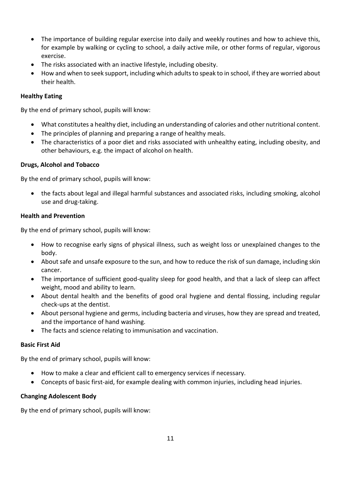- The importance of building regular exercise into daily and weekly routines and how to achieve this, for example by walking or cycling to school, a daily active mile, or other forms of regular, vigorous exercise.
- The risks associated with an inactive lifestyle, including obesity.
- How and when to seek support, including which adults to speak to in school, if they are worried about their health.

## **Healthy Eating**

By the end of primary school, pupils will know:

- What constitutes a healthy diet, including an understanding of calories and other nutritional content.
- The principles of planning and preparing a range of healthy meals.
- The characteristics of a poor diet and risks associated with unhealthy eating, including obesity, and other behaviours, e.g. the impact of alcohol on health.

#### **Drugs, Alcohol and Tobacco**

By the end of primary school, pupils will know:

• the facts about legal and illegal harmful substances and associated risks, including smoking, alcohol use and drug-taking.

#### **Health and Prevention**

By the end of primary school, pupils will know:

- How to recognise early signs of physical illness, such as weight loss or unexplained changes to the body.
- About safe and unsafe exposure to the sun, and how to reduce the risk of sun damage, including skin cancer.
- The importance of sufficient good-quality sleep for good health, and that a lack of sleep can affect weight, mood and ability to learn.
- About dental health and the benefits of good oral hygiene and dental flossing, including regular check-ups at the dentist.
- About personal hygiene and germs, including bacteria and viruses, how they are spread and treated, and the importance of hand washing.
- The facts and science relating to immunisation and vaccination.

#### **Basic First Aid**

By the end of primary school, pupils will know:

- How to make a clear and efficient call to emergency services if necessary.
- Concepts of basic first-aid, for example dealing with common injuries, including head injuries.

#### **Changing Adolescent Body**

By the end of primary school, pupils will know: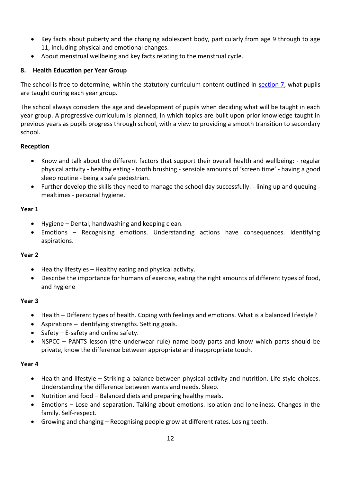- Key facts about puberty and the changing adolescent body, particularly from age 9 through to age 11, including physical and emotional changes.
- About menstrual wellbeing and key facts relating to the menstrual cycle.

# <span id="page-11-0"></span>**8. Health Education per Year Group**

The school is free to determine, within the statutory curriculum content outlined in [section 7,](#page-8-0) what pupils are taught during each year group.

The school always considers the age and development of pupils when deciding what will be taught in each year group. A progressive curriculum is planned, in which topics are built upon prior knowledge taught in previous years as pupils progress through school, with a view to providing a smooth transition to secondary school.

# **Reception**

- Know and talk about the different factors that support their overall health and wellbeing: regular physical activity - healthy eating - tooth brushing - sensible amounts of 'screen time' - having a good sleep routine - being a safe pedestrian.
- Further develop the skills they need to manage the school day successfully: lining up and queuing mealtimes - personal hygiene.

#### **Year 1**

- Hygiene Dental, handwashing and keeping clean.
- Emotions Recognising emotions. Understanding actions have consequences. Identifying aspirations.

# **Year 2**

- Healthy lifestyles Healthy eating and physical activity.
- Describe the importance for humans of exercise, eating the right amounts of different types of food, and hygiene

# **Year 3**

- Health Different types of health. Coping with feelings and emotions. What is a balanced lifestyle?
- Aspirations Identifying strengths. Setting goals.
- Safety E-safety and online safety.
- NSPCC PANTS lesson (the underwear rule) name body parts and know which parts should be private, know the difference between appropriate and inappropriate touch.

# **Year 4**

- Health and lifestyle Striking a balance between physical activity and nutrition. Life style choices. Understanding the difference between wants and needs. Sleep.
- Nutrition and food Balanced diets and preparing healthy meals.
- Emotions Lose and separation. Talking about emotions. Isolation and loneliness. Changes in the family. Self-respect.
- Growing and changing Recognising people grow at different rates. Losing teeth.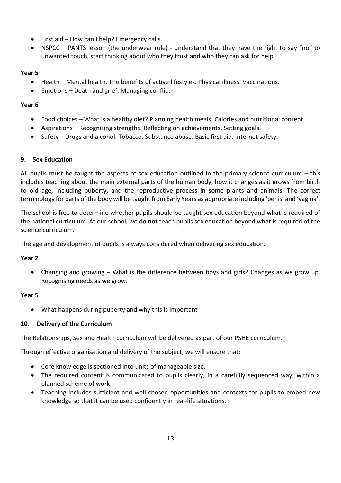- First aid How can I help? Emergency calls.
- NSPCC PANTS lesson (the underwear rule) understand that they have the right to say "no" to unwanted touch, start thinking about who they trust and who they can ask for help.

## **Year 5**

- Health Mental health. The benefits of active lifestyles. Physical illness. Vaccinations.
- Emotions Death and grief. Managing conflict

#### **Year 6**

- Food choices What is a healthy diet? Planning health meals. Calories and nutritional content.
- Aspirations Recognising strengths. Reflecting on achievements. Setting goals.
- Safety Drugs and alcohol. Tobacco. Substance abuse. Basic first aid. Internet safety.

#### <span id="page-12-0"></span>**9. Sex Education**

All pupils must be taught the aspects of sex education outlined in the primary science curriculum – this includes teaching about the main external parts of the human body, how it changes as it grows from birth to old age, including puberty, and the reproductive process in some plants and animals. The correct terminology for parts of the body will be taught from Early Years as appropriate including 'penis' and 'vagina'.

The school is free to determine whether pupils should be taught sex education beyond what is required of the national curriculum. At our school, we **do not** teach pupils sex education beyond what is required of the science curriculum.

The age and development of pupils is always considered when delivering sex education.

# **Year 2**

• Changing and growing – What is the difference between boys and girls? Changes as we grow up. Recognising needs as we grow.

# **Year 5**

• What happens during puberty and why this is important

# <span id="page-12-1"></span>**10. Delivery of the Curriculum**

The Relationships, Sex and Health curriculum will be delivered as part of our PSHE curriculum.

Through effective organisation and delivery of the subject, we will ensure that:

- Core knowledge is sectioned into units of manageable size.
- The required content is communicated to pupils clearly, in a carefully sequenced way, within a planned scheme of work.
- Teaching includes sufficient and well-chosen opportunities and contexts for pupils to embed new knowledge so that it can be used confidently in real-life situations.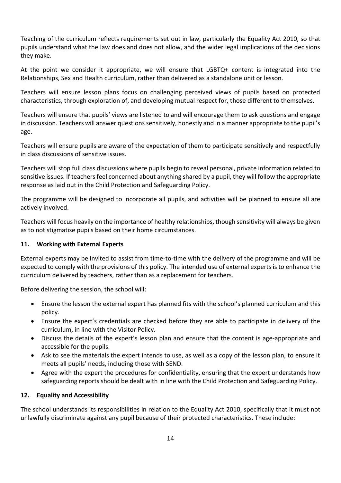Teaching of the curriculum reflects requirements set out in law, particularly the Equality Act 2010, so that pupils understand what the law does and does not allow, and the wider legal implications of the decisions they make.

At the point we consider it appropriate, we will ensure that LGBTQ+ content is integrated into the Relationships, Sex and Health curriculum, rather than delivered as a standalone unit or lesson.

Teachers will ensure lesson plans focus on challenging perceived views of pupils based on protected characteristics, through exploration of, and developing mutual respect for, those different to themselves.

Teachers will ensure that pupils' views are listened to and will encourage them to ask questions and engage in discussion. Teachers will answer questions sensitively, honestly and in a manner appropriate to the pupil's age.

Teachers will ensure pupils are aware of the expectation of them to participate sensitively and respectfully in class discussions of sensitive issues.

Teachers will stop full class discussions where pupils begin to reveal personal, private information related to sensitive issues. If teachers feel concerned about anything shared by a pupil, they will follow the appropriate response as laid out in the Child Protection and Safeguarding Policy.

The programme will be designed to incorporate all pupils, and activities will be planned to ensure all are actively involved.

Teachers will focus heavily on the importance of healthy relationships, though sensitivity will always be given as to not stigmatise pupils based on their home circumstances.

# <span id="page-13-0"></span>**11. Working with External Experts**

External experts may be invited to assist from time-to-time with the delivery of the programme and will be expected to comply with the provisions of this policy. The intended use of external experts is to enhance the curriculum delivered by teachers, rather than as a replacement for teachers.

Before delivering the session, the school will:

- Ensure the lesson the external expert has planned fits with the school's planned curriculum and this policy.
- Ensure the expert's credentials are checked before they are able to participate in delivery of the curriculum, in line with the Visitor Policy.
- Discuss the details of the expert's lesson plan and ensure that the content is age-appropriate and accessible for the pupils.
- Ask to see the materials the expert intends to use, as well as a copy of the lesson plan, to ensure it meets all pupils' needs, including those with SEND.
- Agree with the expert the procedures for confidentiality, ensuring that the expert understands how safeguarding reports should be dealt with in line with the Child Protection and Safeguarding Policy.

# **12. Equality and Accessibility**

The school understands its responsibilities in relation to the Equality Act 2010, specifically that it must not unlawfully discriminate against any pupil because of their protected characteristics. These include: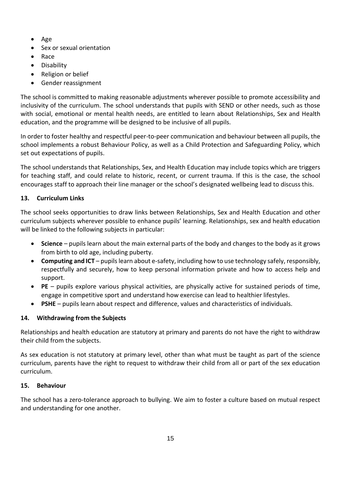- Age
- Sex or sexual orientation
- Race
- Disability
- Religion or belief
- Gender reassignment

The school is committed to making reasonable adjustments wherever possible to promote accessibility and inclusivity of the curriculum. The school understands that pupils with SEND or other needs, such as those with social, emotional or mental health needs, are entitled to learn about Relationships, Sex and Health education, and the programme will be designed to be inclusive of all pupils.

In order to foster healthy and respectful peer-to-peer communication and behaviour between all pupils, the school implements a robust Behaviour Policy, as well as a Child Protection and Safeguarding Policy, which set out expectations of pupils.

The school understands that Relationships, Sex, and Health Education may include topics which are triggers for teaching staff, and could relate to historic, recent, or current trauma. If this is the case, the school encourages staff to approach their line manager or the school's designated wellbeing lead to discuss this.

# <span id="page-14-0"></span>**13. Curriculum Links**

The school seeks opportunities to draw links between Relationships, Sex and Health Education and other curriculum subjects wherever possible to enhance pupils' learning. Relationships, sex and health education will be linked to the following subjects in particular:

- **Science** pupils learn about the main external parts of the body and changes to the body as it grows from birth to old age, including puberty.
- **Computing and ICT** pupils learn about e-safety, including how to use technology safely, responsibly, respectfully and securely, how to keep personal information private and how to access help and support.
- **PE** pupils explore various physical activities, are physically active for sustained periods of time, engage in competitive sport and understand how exercise can lead to healthier lifestyles.
- **PSHE** pupils learn about respect and difference, values and characteristics of individuals.

# <span id="page-14-1"></span>**14. Withdrawing from the Subjects**

Relationships and health education are statutory at primary and parents do not have the right to withdraw their child from the subjects.

As sex education is not statutory at primary level, other than what must be taught as part of the science curriculum, parents have the right to request to withdraw their child from all or part of the sex education curriculum.

# <span id="page-14-2"></span>**15. Behaviour**

The school has a zero-tolerance approach to bullying. We aim to foster a culture based on mutual respect and understanding for one another.